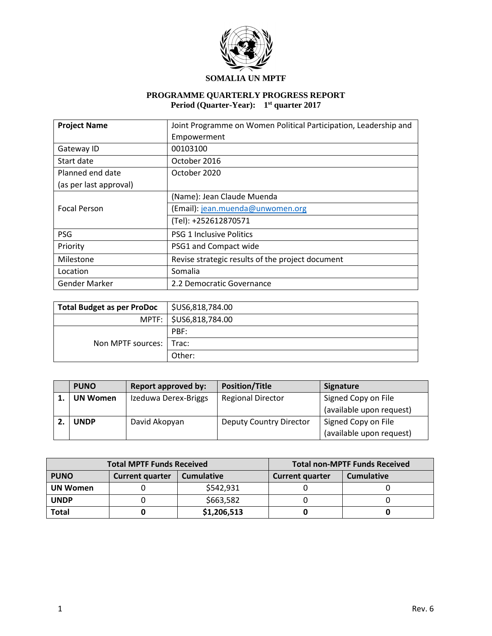

### **SOMALIA UN MPTF**

### **PROGRAMME QUARTERLY PROGRESS REPORT Period (Quarter-Year): 1 st quarter 2017**

| <b>Project Name</b>    | Joint Programme on Women Political Participation, Leadership and |
|------------------------|------------------------------------------------------------------|
|                        | Empowerment                                                      |
| Gateway ID             | 00103100                                                         |
| Start date             | October 2016                                                     |
| Planned end date       | October 2020                                                     |
| (as per last approval) |                                                                  |
|                        | (Name): Jean Claude Muenda                                       |
| <b>Focal Person</b>    | (Email): jean.muenda@unwomen.org                                 |
|                        | (Tel): +252612870571                                             |
| <b>PSG</b>             | <b>PSG 1 Inclusive Politics</b>                                  |
| Priority               | PSG1 and Compact wide                                            |
| Milestone              | Revise strategic results of the project document                 |
| Location               | Somalia                                                          |
| <b>Gender Marker</b>   | 2.2 Democratic Governance                                        |

| <b>Total Budget as per ProDoc</b> | $\frac{1}{2}$ \$US6,818,784.00 |
|-----------------------------------|--------------------------------|
|                                   | MPTF:   \$US6,818,784.00       |
|                                   | PBF:                           |
| Non MPTF sources: 1 Trac:         |                                |
|                                   | Other:                         |

| <b>PUNO</b>     | <b>Report approved by:</b> | <b>Position/Title</b>          | Signature                |
|-----------------|----------------------------|--------------------------------|--------------------------|
| <b>UN Women</b> | Izeduwa Derex-Briggs       | <b>Regional Director</b>       | Signed Copy on File      |
|                 |                            |                                | (available upon request) |
| <b>UNDP</b>     | David Akopyan              | <b>Deputy Country Director</b> | Signed Copy on File      |
|                 |                            |                                | (available upon request) |

| <b>Total MPTF Funds Received</b> |                        |                   | <b>Total non-MPTF Funds Received</b> |                   |
|----------------------------------|------------------------|-------------------|--------------------------------------|-------------------|
| <b>PUNO</b>                      | <b>Current quarter</b> | <b>Cumulative</b> | <b>Current quarter</b>               | <b>Cumulative</b> |
| <b>UN Women</b>                  |                        | \$542,931         |                                      |                   |
| <b>UNDP</b>                      |                        | \$663,582         |                                      |                   |
| <b>Total</b>                     |                        | \$1,206,513       |                                      |                   |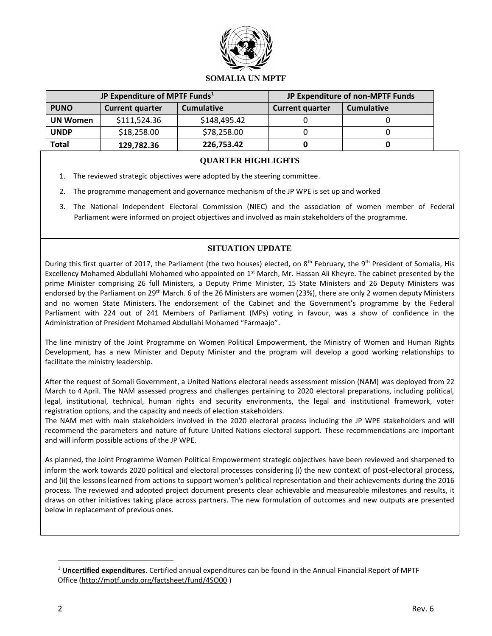

### **SOMALIA UN MPTF**

| JP Expenditure of MPTF Funds <sup>1</sup> |                        | JP Expenditure of non-MPTF Funds |                        |                   |
|-------------------------------------------|------------------------|----------------------------------|------------------------|-------------------|
| <b>PUNO</b>                               | <b>Current quarter</b> | <b>Cumulative</b>                | <b>Current quarter</b> | <b>Cumulative</b> |
| <b>UN Women</b>                           | \$111,524.36           | \$148,495.42                     |                        |                   |
| <b>UNDP</b>                               | \$18,258.00            | \$78,258.00                      |                        |                   |
| Total                                     | 129,782.36             | 226,753.42                       |                        |                   |

### **QUARTER HIGHLIGHTS**

- 1. The reviewed strategic objectives were adopted by the steering committee.
- 2. The programme management and governance mechanism of the JP WPE is set up and worked
- 3. The National Independent Electoral Commission (NIEC) and the association of women member of Federal Parliament were informed on project objectives and involved as main stakeholders of the programme.

### **SITUATION UPDATE**

During this first quarter of 2017, the Parliament (the two houses) elected, on 8<sup>th</sup> February, the 9<sup>th</sup> President of Somalia, His Excellency Mohamed Abdullahi Mohamed who appointed on 1<sup>st</sup> March, Mr. Hassan Ali Kheyre. The cabinet presented by the prime Minister comprising 26 full Ministers, a Deputy Prime Minister, 15 State Ministers and 26 Deputy Ministers was endorsed by the Parliament on 29<sup>th</sup> March. 6 of the 26 Ministers are women (23%), there are only 2 women deputy Ministers and no women State Ministers. The endorsement of the Cabinet and the Government's programme by the Federal Parliament with 224 out of 241 Members of Parliament (MPs) voting in favour, was a show of confidence in the Administration of President Mohamed Abdullahi Mohamed "Farmaajo".

The line ministry of the Joint Programme on Women Political Empowerment, the Ministry of Women and Human Rights Development, has a new Minister and Deputy Minister and the program will develop a good working relationships to facilitate the ministry leadership.

After the request of Somali Government, a United Nations electoral needs assessment mission (NAM) was deployed from 22 March to 4 April. The NAM assessed progress and challenges pertaining to 2020 electoral preparations, including political, legal, institutional, technical, human rights and security environments, the legal and institutional framework, voter registration options, and the capacity and needs of election stakeholders.

The NAM met with main stakeholders involved in the 2020 electoral process including the JP WPE stakeholders and will recommend the parameters and nature of future United Nations electoral support. These recommendations are important and will inform possible actions of the JP WPE.

As planned, the Joint Programme Women Political Empowerment strategic objectives have been reviewed and sharpened to inform the work towards 2020 political and electoral processes considering (i) the new context of post-electoral process, and (ii) the lessons learned from actions to support women's political representation and their achievements during the 2016 process. The reviewed and adopted project document presents clear achievable and measureable milestones and results, it draws on other initiatives taking place across partners. The new formulation of outcomes and new outputs are presented below in replacement of previous ones.

 $\overline{a}$ 

<sup>1</sup> **Uncertified expenditures**. Certified annual expenditures can be found in the Annual Financial Report of MPTF Office [\(http://mptf.undp.org/factsheet/fund/4SO00](http://mptf.undp.org/factsheet/fund/4SO00) )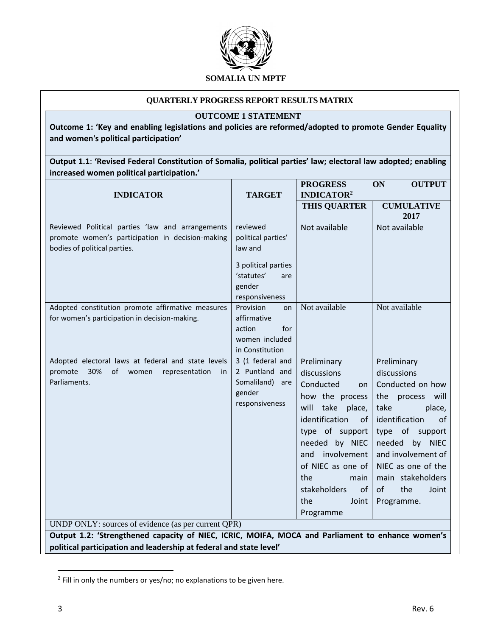

### **QUARTERLY PROGRESS REPORT RESULTS MATRIX**

### **OUTCOME 1 STATEMENT**

**Outcome 1: 'Key and enabling legislations and policies are reformed/adopted to promote Gender Equality and women's political participation'**

**Output 1.1**: **'Revised Federal Constitution of Somalia, political parties' law; electoral law adopted; enabling increased women political participation.'**

| <b>INDICATOR</b>                                                                                                                                                       | <b>TARGET</b>                                                                                                     | <b>PROGRESS</b><br><b>INDICATOR2</b>                                                                                                                                                                                                                              | <b>ON</b><br><b>OUTPUT</b>                                                                                                                                                                                                                                   |  |
|------------------------------------------------------------------------------------------------------------------------------------------------------------------------|-------------------------------------------------------------------------------------------------------------------|-------------------------------------------------------------------------------------------------------------------------------------------------------------------------------------------------------------------------------------------------------------------|--------------------------------------------------------------------------------------------------------------------------------------------------------------------------------------------------------------------------------------------------------------|--|
|                                                                                                                                                                        |                                                                                                                   | <b>THIS QUARTER</b>                                                                                                                                                                                                                                               | <b>CUMULATIVE</b><br>2017                                                                                                                                                                                                                                    |  |
| Reviewed Political parties 'law and arrangements<br>promote women's participation in decision-making<br>bodies of political parties.                                   | reviewed<br>political parties'<br>law and<br>3 political parties<br>'statutes'<br>are<br>gender<br>responsiveness | Not available                                                                                                                                                                                                                                                     | Not available                                                                                                                                                                                                                                                |  |
| Adopted constitution promote affirmative measures<br>for women's participation in decision-making.                                                                     | Provision<br>on<br>affirmative<br>for<br>action<br>women included<br>in Constitution                              | Not available                                                                                                                                                                                                                                                     | Not available                                                                                                                                                                                                                                                |  |
| Adopted electoral laws at federal and state levels<br>promote<br>30%<br>οf<br>representation<br>women<br>in.<br>Parliaments.                                           | 3 (1 federal and<br>2 Puntland and<br>Somaliland)<br>are<br>gender<br>responsiveness                              | Preliminary<br>discussions<br>Conducted<br>on<br>how the process<br>take place,<br>will<br>identification<br>of<br>type of support<br>needed by NIEC<br>involvement<br>and<br>of NIEC as one of<br>the<br>main<br>stakeholders<br>of<br>the<br>Joint<br>Programme | Preliminary<br>discussions<br>Conducted on how<br>the process will<br>take<br>place,<br>identification<br>οf<br>of<br>type<br>support<br>needed by NIEC<br>and involvement of<br>NIEC as one of the<br>main stakeholders<br>the<br>of<br>Joint<br>Programme. |  |
| UNDP ONLY: sources of evidence (as per current QPR)                                                                                                                    |                                                                                                                   |                                                                                                                                                                                                                                                                   |                                                                                                                                                                                                                                                              |  |
| Output 1.2: 'Strengthened capacity of NIEC, ICRIC, MOIFA, MOCA and Parliament to enhance women's<br>political participation and leadership at federal and state level' |                                                                                                                   |                                                                                                                                                                                                                                                                   |                                                                                                                                                                                                                                                              |  |

<sup>&</sup>lt;sup>2</sup> Fill in only the numbers or yes/no; no explanations to be given here.

 $\overline{\phantom{a}}$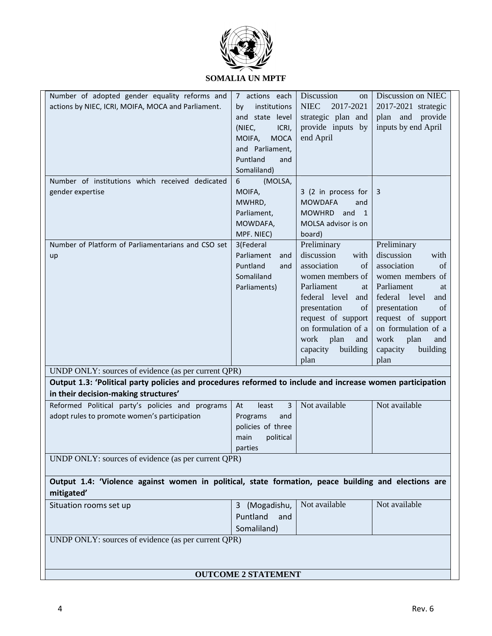

## **SOMALIA UN MPTF**

| Number of adopted gender equality reforms and                                                                     | 7 actions each             | Discussion<br>on             | Discussion on NIEC   |
|-------------------------------------------------------------------------------------------------------------------|----------------------------|------------------------------|----------------------|
| actions by NIEC, ICRI, MOIFA, MOCA and Parliament.                                                                | institutions<br>by         | <b>NIEC</b><br>2017-2021     | 2017-2021 strategic  |
|                                                                                                                   | and state level            | strategic plan and           | plan and provide     |
|                                                                                                                   | (NIEC,<br>ICRI,            | provide inputs by            | inputs by end April  |
|                                                                                                                   | <b>MOCA</b><br>MOIFA,      | end April                    |                      |
|                                                                                                                   | and Parliament,            |                              |                      |
|                                                                                                                   | Puntland<br>and            |                              |                      |
|                                                                                                                   | Somaliland)                |                              |                      |
| Number of institutions which received dedicated                                                                   | 6<br>(MOLSA,               |                              |                      |
| gender expertise                                                                                                  | MOIFA,                     | 3 (2 in process for          | 3                    |
|                                                                                                                   | MWHRD,                     | <b>MOWDAFA</b><br>and        |                      |
|                                                                                                                   | Parliament,                | MOWHRD and<br>$\overline{1}$ |                      |
|                                                                                                                   | MOWDAFA,                   | MOLSA advisor is on          |                      |
|                                                                                                                   | MPF. NIEC)                 | board)                       |                      |
| Number of Platform of Parliamentarians and CSO set                                                                | 3(Federal                  | Preliminary                  | Preliminary          |
| up                                                                                                                | Parliament<br>and          | discussion<br>with           | discussion<br>with   |
|                                                                                                                   | Puntland<br>and            | of<br>association            | association<br>of    |
|                                                                                                                   | Somaliland                 | women members of             | women members of     |
|                                                                                                                   | Parliaments)               | Parliament<br>at             | Parliament<br>at     |
|                                                                                                                   |                            | federal level<br>and         | federal level<br>and |
|                                                                                                                   |                            | presentation<br>of           | presentation<br>of   |
|                                                                                                                   |                            | request of support           | request of support   |
|                                                                                                                   |                            | on formulation of a          | on formulation of a  |
|                                                                                                                   |                            | plan<br>work<br>and          | work<br>plan<br>and  |
|                                                                                                                   |                            | capacity<br>building         | capacity<br>building |
|                                                                                                                   |                            | plan                         | plan                 |
| UNDP ONLY: sources of evidence (as per current QPR)                                                               |                            |                              |                      |
| Output 1.3: 'Political party policies and procedures reformed to include and increase women participation         |                            |                              |                      |
| in their decision-making structures'                                                                              |                            |                              |                      |
| Reformed Political party's policies and programs                                                                  | 3<br>At<br>least           | Not available                | Not available        |
| adopt rules to promote women's participation                                                                      | Programs<br>and            |                              |                      |
|                                                                                                                   | policies of three          |                              |                      |
|                                                                                                                   | political<br>main          |                              |                      |
|                                                                                                                   | parties                    |                              |                      |
| UNDP ONLY: sources of evidence (as per current QPR)                                                               |                            |                              |                      |
|                                                                                                                   |                            |                              |                      |
| Output 1.4: 'Violence against women in political, state formation, peace building and elections are<br>mitigated' |                            |                              |                      |
| Situation rooms set up                                                                                            | 3 (Mogadishu,              | Not available                | Not available        |
|                                                                                                                   | Puntland<br>and            |                              |                      |
|                                                                                                                   |                            |                              |                      |
|                                                                                                                   | Somaliland)                |                              |                      |
| UNDP ONLY: sources of evidence (as per current QPR)                                                               |                            |                              |                      |
|                                                                                                                   |                            |                              |                      |
|                                                                                                                   |                            |                              |                      |
|                                                                                                                   | <b>OUTCOME 2 STATEMENT</b> |                              |                      |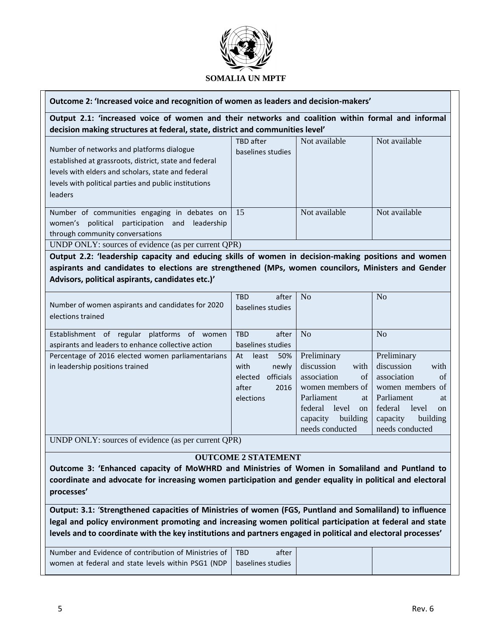

### **Outcome 2: 'Increased voice and recognition of women as leaders and decision-makers'**

**Output 2.1: 'increased voice of women and their networks and coalition within formal and informal decision making structures at federal, state, district and communities level'**

| Number of networks and platforms dialogue<br>established at grassroots, district, state and federal<br>levels with elders and scholars, state and federal<br>levels with political parties and public institutions<br><b>leaders</b> | TBD after<br>baselines studies | Not available | Not available |
|--------------------------------------------------------------------------------------------------------------------------------------------------------------------------------------------------------------------------------------|--------------------------------|---------------|---------------|
| Number of communities engaging in debates on<br>political participation and<br>leadership<br>women's<br>through community conversations                                                                                              | 15                             | Not available | Not available |
| UNDP ONLY: sources of evidence (as per current QPR)                                                                                                                                                                                  |                                |               |               |

**Output 2.2: 'leadership capacity and educing skills of women in decision-making positions and women aspirants and candidates to elections are strengthened (MPs, women councilors, Ministers and Gender Advisors, political aspirants, candidates etc.)'**

| Number of women aspirants and candidates for 2020<br>elections trained | <b>TBD</b><br>after<br>baselines studies | No                                | N <sub>o</sub>                    |
|------------------------------------------------------------------------|------------------------------------------|-----------------------------------|-----------------------------------|
| Establishment of regular<br>platforms of<br>women                      | <b>TBD</b><br>after                      | N <sub>o</sub>                    | N <sub>0</sub>                    |
| aspirants and leaders to enhance collective action                     | baselines studies                        |                                   |                                   |
| Percentage of 2016 elected women parliamentarians                      | 50%<br>At<br>least                       | Preliminary                       | Preliminary                       |
| in leadership positions trained                                        | with<br>newly                            | discussion<br>with                | with<br>discussion                |
|                                                                        | officials<br>elected                     | of<br>association                 | association<br>of                 |
|                                                                        | after<br>2016                            | women members of                  | women members of                  |
|                                                                        | elections                                | Parliament<br>at                  | Parliament<br>at                  |
|                                                                        |                                          | federal<br>level<br><sub>on</sub> | federal<br>level<br><sub>on</sub> |
|                                                                        |                                          | building<br>capacity              | building<br>capacity              |
|                                                                        |                                          | needs conducted                   | needs conducted                   |

UNDP ONLY: sources of evidence (as per current QPR)

# **OUTCOME 2 STATEMENT**

**Outcome 3: 'Enhanced capacity of MoWHRD and Ministries of Women in Somaliland and Puntland to coordinate and advocate for increasing women participation and gender equality in political and electoral processes'**

**Output: 3.1:** '**Strengthened capacities of Ministries of women (FGS, Puntland and Somaliland) to influence legal and policy environment promoting and increasing women political participation at federal and state levels and to coordinate with the key institutions and partners engaged in political and electoral processes'**

| Number and Evidence of contribution of Ministries of                   | <b>TRD</b><br>after |  |
|------------------------------------------------------------------------|---------------------|--|
| women at federal and state levels within PSG1 (NDP   baselines studies |                     |  |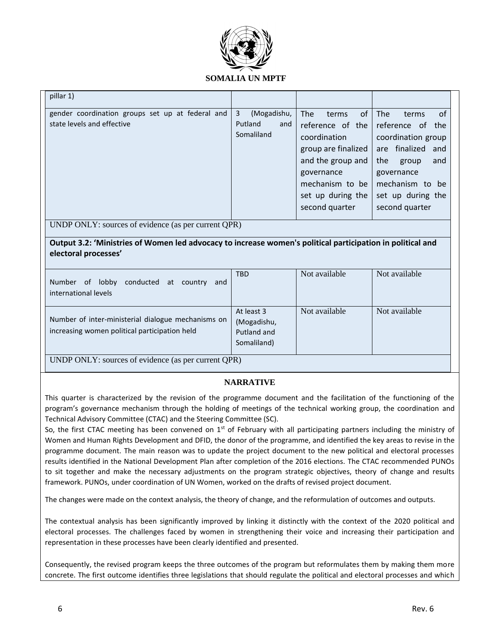

| pillar 1)                                                                                                                          |                                                         |                                                                                                                                                                                   |                                                                                                                                                                                     |  |
|------------------------------------------------------------------------------------------------------------------------------------|---------------------------------------------------------|-----------------------------------------------------------------------------------------------------------------------------------------------------------------------------------|-------------------------------------------------------------------------------------------------------------------------------------------------------------------------------------|--|
| gender coordination groups set up at federal and<br>state levels and effective                                                     | 3<br>(Mogadishu,<br>Putland<br>and<br>Somaliland        | <b>The</b><br>of<br>terms<br>reference of the<br>coordination<br>group are finalized<br>and the group and<br>governance<br>mechanism to be<br>set up during the<br>second quarter | of<br>The<br>terms<br>reference of the<br>coordination group<br>finalized and<br>are<br>the<br>group<br>and<br>governance<br>mechanism to be<br>set up during the<br>second quarter |  |
| UNDP ONLY: sources of evidence (as per current QPR)                                                                                |                                                         |                                                                                                                                                                                   |                                                                                                                                                                                     |  |
| Output 3.2: 'Ministries of Women led advocacy to increase women's political participation in political and<br>electoral processes' |                                                         |                                                                                                                                                                                   |                                                                                                                                                                                     |  |
| Number of lobby conducted at country<br>and<br>international levels                                                                | <b>TBD</b>                                              | Not available                                                                                                                                                                     | Not available                                                                                                                                                                       |  |
| Number of inter-ministerial dialogue mechanisms on<br>increasing women political participation held                                | At least 3<br>(Mogadishu,<br>Putland and<br>Somaliland) | Not available                                                                                                                                                                     | Not available                                                                                                                                                                       |  |
| UNDP ONLY: sources of evidence (as per current QPR)                                                                                |                                                         |                                                                                                                                                                                   |                                                                                                                                                                                     |  |

# **NARRATIVE**

This quarter is characterized by the revision of the programme document and the facilitation of the functioning of the program's governance mechanism through the holding of meetings of the technical working group, the coordination and Technical Advisory Committee (CTAC) and the Steering Committee (SC).

So, the first CTAC meeting has been convened on  $1<sup>st</sup>$  of February with all participating partners including the ministry of Women and Human Rights Development and DFID, the donor of the programme, and identified the key areas to revise in the programme document. The main reason was to update the project document to the new political and electoral processes results identified in the National Development Plan after completion of the 2016 elections. The CTAC recommended PUNOs to sit together and make the necessary adjustments on the program strategic objectives, theory of change and results framework. PUNOs, under coordination of UN Women, worked on the drafts of revised project document.

The changes were made on the context analysis, the theory of change, and the reformulation of outcomes and outputs.

The contextual analysis has been significantly improved by linking it distinctly with the context of the 2020 political and electoral processes. The challenges faced by women in strengthening their voice and increasing their participation and representation in these processes have been clearly identified and presented.

Consequently, the revised program keeps the three outcomes of the program but reformulates them by making them more concrete. The first outcome identifies three legislations that should regulate the political and electoral processes and which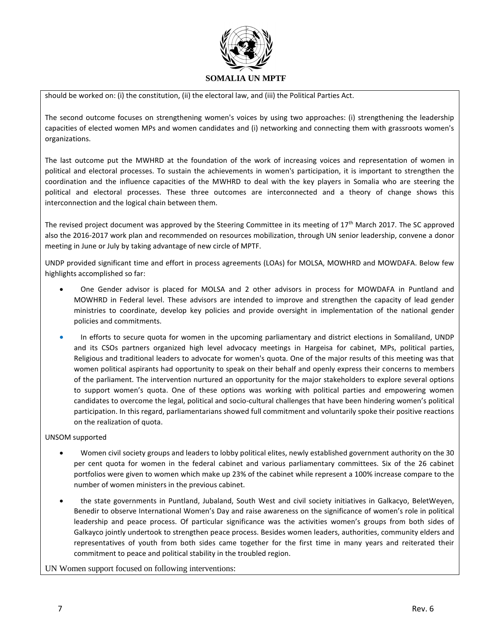

should be worked on: (i) the constitution, (ii) the electoral law, and (iii) the Political Parties Act.

The second outcome focuses on strengthening women's voices by using two approaches: (i) strengthening the leadership capacities of elected women MPs and women candidates and (i) networking and connecting them with grassroots women's organizations.

The last outcome put the MWHRD at the foundation of the work of increasing voices and representation of women in political and electoral processes. To sustain the achievements in women's participation, it is important to strengthen the coordination and the influence capacities of the MWHRD to deal with the key players in Somalia who are steering the political and electoral processes. These three outcomes are interconnected and a theory of change shows this interconnection and the logical chain between them.

The revised project document was approved by the Steering Committee in its meeting of 17<sup>th</sup> March 2017. The SC approved also the 2016-2017 work plan and recommended on resources mobilization, through UN senior leadership, convene a donor meeting in June or July by taking advantage of new circle of MPTF.

UNDP provided significant time and effort in process agreements (LOAs) for MOLSA, MOWHRD and MOWDAFA. Below few highlights accomplished so far:

- One Gender advisor is placed for MOLSA and 2 other advisors in process for MOWDAFA in Puntland and MOWHRD in Federal level. These advisors are intended to improve and strengthen the capacity of lead gender ministries to coordinate, develop key policies and provide oversight in implementation of the national gender policies and commitments.
- In efforts to secure quota for women in the upcoming parliamentary and district elections in Somaliland, UNDP and its CSOs partners organized high level advocacy meetings in Hargeisa for cabinet, MPs, political parties, Religious and traditional leaders to advocate for women's quota. One of the major results of this meeting was that women political aspirants had opportunity to speak on their behalf and openly express their concerns to members of the parliament. The intervention nurtured an opportunity for the major stakeholders to explore several options to support women's quota. One of these options was working with political parties and empowering women candidates to overcome the legal, political and socio-cultural challenges that have been hindering women's political participation. In this regard, parliamentarians showed full commitment and voluntarily spoke their positive reactions on the realization of quota.

#### UNSOM supported

- Women civil society groups and leaders to lobby political elites, newly established government authority on the 30 per cent quota for women in the federal cabinet and various parliamentary committees. Six of the 26 cabinet portfolios were given to women which make up 23% of the cabinet while represent a 100% increase compare to the number of women ministers in the previous cabinet.
- the state governments in Puntland, Jubaland, South West and civil society initiatives in Galkacyo, BeletWeyen, Benedir to observe International Women's Day and raise awareness on the significance of women's role in political leadership and peace process. Of particular significance was the activities women's groups from both sides of Galkayco jointly undertook to strengthen peace process. Besides women leaders, authorities, community elders and representatives of youth from both sides came together for the first time in many years and reiterated their commitment to peace and political stability in the troubled region.

#### UN Women support focused on following interventions: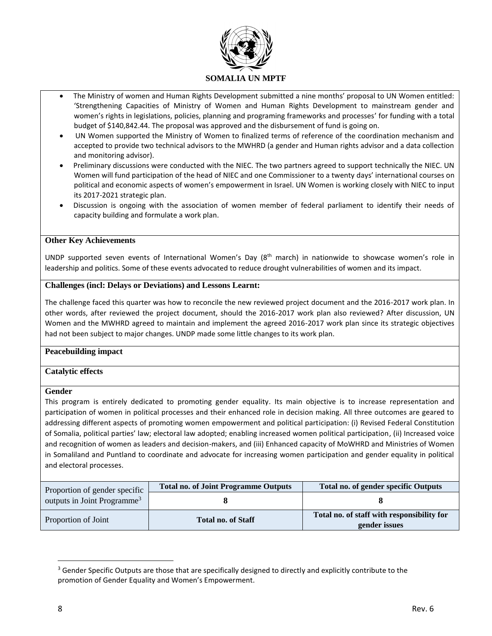

- The Ministry of women and Human Rights Development submitted a nine months' proposal to UN Women entitled: 'Strengthening Capacities of Ministry of Women and Human Rights Development to mainstream gender and women's rights in legislations, policies, planning and programing frameworks and processes' for funding with a total budget of \$140,842.44. The proposal was approved and the disbursement of fund is going on.
- UN Women supported the Ministry of Women to finalized terms of reference of the coordination mechanism and accepted to provide two technical advisors to the MWHRD (a gender and Human rights advisor and a data collection and monitoring advisor).
- Preliminary discussions were conducted with the NIEC. The two partners agreed to support technically the NIEC. UN Women will fund participation of the head of NIEC and one Commissioner to a twenty days' international courses on political and economic aspects of women's empowerment in Israel. UN Women is working closely with NIEC to input its 2017-2021 strategic plan.
- Discussion is ongoing with the association of women member of federal parliament to identify their needs of capacity building and formulate a work plan.

### **Other Key Achievements**

UNDP supported seven events of International Women's Day (8th march) in nationwide to showcase women's role in leadership and politics. Some of these events advocated to reduce drought vulnerabilities of women and its impact.

### **Challenges (incl: Delays or Deviations) and Lessons Learnt:**

The challenge faced this quarter was how to reconcile the new reviewed project document and the 2016-2017 work plan. In other words, after reviewed the project document, should the 2016-2017 work plan also reviewed? After discussion, UN Women and the MWHRD agreed to maintain and implement the agreed 2016-2017 work plan since its strategic objectives had not been subject to major changes. UNDP made some little changes to its work plan.

### **Peacebuilding impact**

### **Catalytic effects**

### **Gender**

This program is entirely dedicated to promoting gender equality. Its main objective is to increase representation and participation of women in political processes and their enhanced role in decision making. All three outcomes are geared to addressing different aspects of promoting women empowerment and political participation: (i) Revised Federal Constitution of Somalia, political parties' law; electoral law adopted; enabling increased women political participation, (ii) Increased voice and recognition of women as leaders and decision-makers, and (iii) Enhanced capacity of MoWHRD and Ministries of Women in Somaliland and Puntland to coordinate and advocate for increasing women participation and gender equality in political and electoral processes.

| Proportion of gender specific           | <b>Total no. of Joint Programme Outputs</b> | <b>Total no. of gender specific Outputs</b>                 |
|-----------------------------------------|---------------------------------------------|-------------------------------------------------------------|
| outputs in Joint Programme <sup>3</sup> |                                             |                                                             |
| Proportion of Joint                     | <b>Total no. of Staff</b>                   | Total no. of staff with responsibility for<br>gender issues |

 $\overline{a}$ 

<sup>&</sup>lt;sup>3</sup> Gender Specific Outputs are those that are specifically designed to directly and explicitly contribute to the promotion of Gender Equality and Women's Empowerment.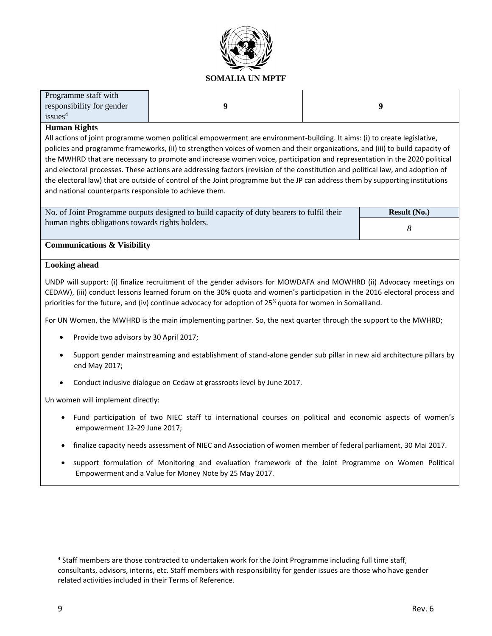

| Programme staff with      |
|---------------------------|
| responsibility for gender |
| issues <sup>4</sup>       |

**9 9**

### **Human Rights**

All actions of joint programme women political empowerment are environment-building. It aims: (i) to create legislative, policies and programme frameworks, (ii) to strengthen voices of women and their organizations, and (iii) to build capacity of the MWHRD that are necessary to promote and increase women voice, participation and representation in the 2020 political and electoral processes. These actions are addressing factors (revision of the constitution and political law, and adoption of the electoral law) that are outside of control of the Joint programme but the JP can address them by supporting institutions and national counterparts responsible to achieve them.

No. of Joint Programme outputs designed to build capacity of duty bearers to fulfil their human rights obligations towards rights holders. **Result (No.)** *8*

### **Communications & Visibility**

### **Looking ahead**

UNDP will support: (i) finalize recruitment of the gender advisors for MOWDAFA and MOWHRD (ii) Advocacy meetings on CEDAW), (iii) conduct lessons learned forum on the 30% quota and women's participation in the 2016 electoral process and priorities for the future, and (iv) continue advocacy for adoption of 25% quota for women in Somaliland.

For UN Women, the MWHRD is the main implementing partner. So, the next quarter through the support to the MWHRD;

- Provide two advisors by 30 April 2017;
- Support gender mainstreaming and establishment of stand-alone gender sub pillar in new aid architecture pillars by end May 2017;
- Conduct inclusive dialogue on Cedaw at grassroots level by June 2017.

Un women will implement directly:

- Fund participation of two NIEC staff to international courses on political and economic aspects of women's empowerment 12-29 June 2017;
- finalize capacity needs assessment of NIEC and Association of women member of federal parliament, 30 Mai 2017.
- support formulation of Monitoring and evaluation framework of the Joint Programme on Women Political Empowerment and a Value for Money Note by 25 May 2017.

 $\overline{\phantom{a}}$ 

<sup>&</sup>lt;sup>4</sup> Staff members are those contracted to undertaken work for the Joint Programme including full time staff, consultants, advisors, interns, etc. Staff members with responsibility for gender issues are those who have gender related activities included in their Terms of Reference.